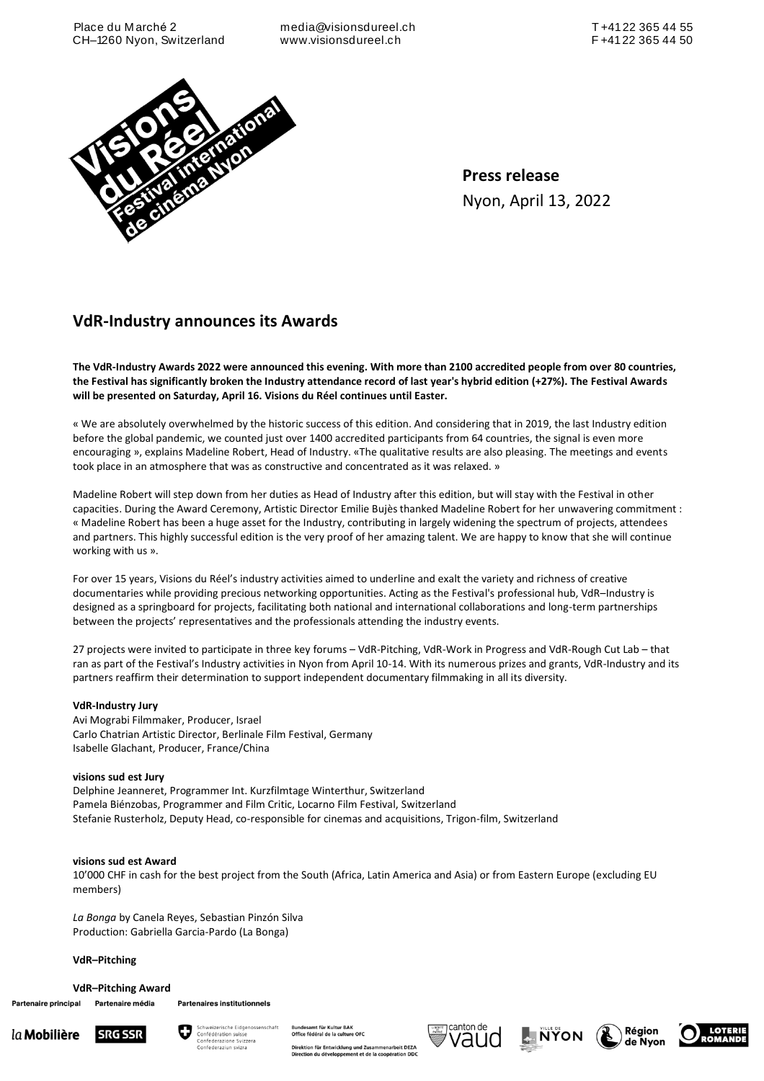media@visionsdureel.ch www.visionsdureel.ch



**Press release** Nyon, April 13, 2022

# **VdR-Industry announces its Awards**

**The VdR-Industry Awards 2022 were announced this evening. With more than 2100 accredited people from over 80 countries, the Festival has significantly broken the Industry attendance record of last year's hybrid edition (+27%). The Festival Awards will be presented on Saturday, April 16. Visions du Réel continues until Easter.**

« We are absolutely overwhelmed by the historic success of this edition. And considering that in 2019, the last Industry edition before the global pandemic, we counted just over 1400 accredited participants from 64 countries, the signal is even more encouraging », explains Madeline Robert, Head of Industry. «The qualitative results are also pleasing. The meetings and events took place in an atmosphere that was as constructive and concentrated as it was relaxed. »

Madeline Robert will step down from her duties as Head of Industry after this edition, but will stay with the Festival in other capacities. During the Award Ceremony, Artistic Director Emilie Bujès thanked Madeline Robert for her unwavering commitment : « Madeline Robert has been a huge asset for the Industry, contributing in largely widening the spectrum of projects, attendees and partners. This highly successful edition is the very proof of her amazing talent. We are happy to know that she will continue working with us ».

For over 15 years, Visions du Réel's industry activities aimed to underline and exalt the variety and richness of creative documentaries while providing precious networking opportunities. Acting as the Festival's professional hub, VdR–Industry is designed as a springboard for projects, facilitating both national and international collaborations and long-term partnerships between the projects' representatives and the professionals attending the industry events.

27 projects were invited to participate in three key forums – VdR-Pitching, VdR-Work in Progress and VdR-Rough Cut Lab – that ran as part of the Festival's Industry activities in Nyon from April 10-14. With its numerous prizes and grants, VdR-Industry and its partners reaffirm their determination to support independent documentary filmmaking in all its diversity.

# **VdR-Industry Jury**

Avi Mograbi Filmmaker, Producer, Israel Carlo Chatrian Artistic Director, Berlinale Film Festival, Germany Isabelle Glachant, Producer, France/China

# **visions sud est Jury**

Delphine Jeanneret, Programmer Int. Kurzfilmtage Winterthur, Switzerland Pamela Biénzobas, Programmer and Film Critic, Locarno Film Festival, Switzerland Stefanie Rusterholz, Deputy Head, co-responsible for cinemas and acquisitions, Trigon-film, Switzerland

# **visions sud est Award**

10'000 CHF in cash for the best project from the South (Africa, Latin America and Asia) or from Eastern Europe (excluding EU members)

*La Bonga* by Canela Reyes, Sebastian Pinzón Silva Production: Gabriella Garcia-Pardo (La Bonga)

# **VdR–Pitching**

**VdR–Pitching Award**

Partenaire principal Partenaire média **Partenaires institutionnels** 

la Mobilière **SRG SSR** 



.<br>Direktion für Entwicklung und Zusammenarbeit DE<br>Direction du développement et de la coopération [ nenarbeit DEZA







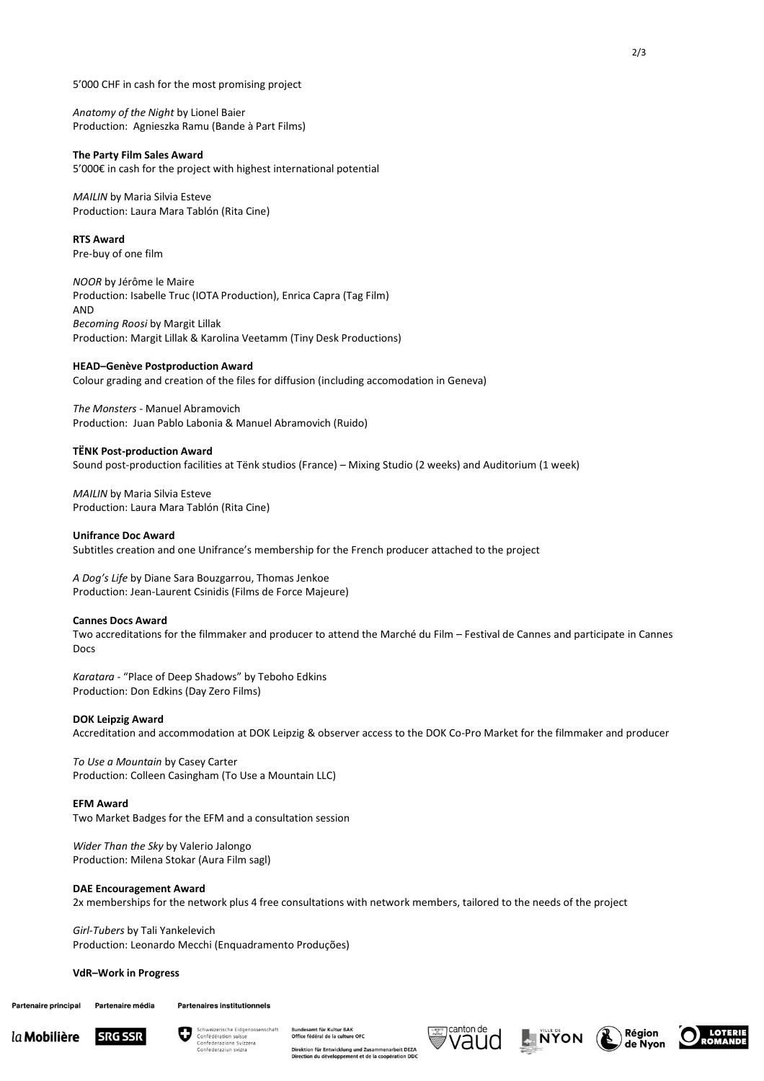5'000 CHF in cash for the most promising project

*Anatomy of the Night* by Lionel Baier Production: Agnieszka Ramu (Bande à Part Films)

## **The Party Film Sales Award**

5'000€ in cash for the project with highest international potential

*MAILIN* by Maria Silvia Esteve Production: Laura Mara Tablón (Rita Cine)

**RTS Award** Pre-buy of one film

*NOOR* by Jérôme le Maire Production: Isabelle Truc (IOTA Production), Enrica Capra (Tag Film) AND *Becoming Roosi* by Margit Lillak Production: Margit Lillak & Karolina Veetamm (Tiny Desk Productions)

# **HEAD–Genève Postproduction Award**

Colour grading and creation of the files for diffusion (including accomodation in Geneva)

*The Monsters* - Manuel Abramovich Production: Juan Pablo Labonia & Manuel Abramovich (Ruido)

#### **TËNK Post-production Award**

Sound post-production facilities at Tënk studios (France) – Mixing Studio (2 weeks) and Auditorium (1 week)

*MAILIN* by Maria Silvia Esteve Production: Laura Mara Tablón (Rita Cine)

#### **Unifrance Doc Award**

Subtitles creation and one Unifrance's membership for the French producer attached to the project

*A Dog's Life* by Diane Sara Bouzgarrou, Thomas Jenkoe Production: Jean-Laurent Csinidis (Films de Force Majeure)

#### **Cannes Docs Award**

Two accreditations for the filmmaker and producer to attend the Marché du Film – Festival de Cannes and participate in Cannes Docs

*Karatara* - "Place of Deep Shadows" by Teboho Edkins Production: Don Edkins (Day Zero Films)

#### **DOK Leipzig Award**

Accreditation and accommodation at DOK Leipzig & observer access to the DOK Co-Pro Market for the filmmaker and producer

*To Use a Mountain* by Casey Carter Production: Colleen Casingham (To Use a Mountain LLC)

#### **EFM Award**

Two Market Badges for the EFM and a consultation session

*Wider Than the Sky* by Valerio Jalongo Production: Milena Stokar (Aura Film sagl)

## **DAE Encouragement Award**

2x memberships for the network plus 4 free consultations with network members, tailored to the needs of the project

*Girl-Tubers* by Tali Yankelevich Production: Leonardo Mecchi (Enquadramento Produções)

#### **VdR–Work in Progress**

Partenaire principal Partenaire média Partenaires institutionnels





panaesame rar realear Byan<br>Office fédéral de la culture OFC rbeit DEZA Direktion für Entwicklung und Zusammena<br>Direction du développement et de la coopé

mt für Kultur RA